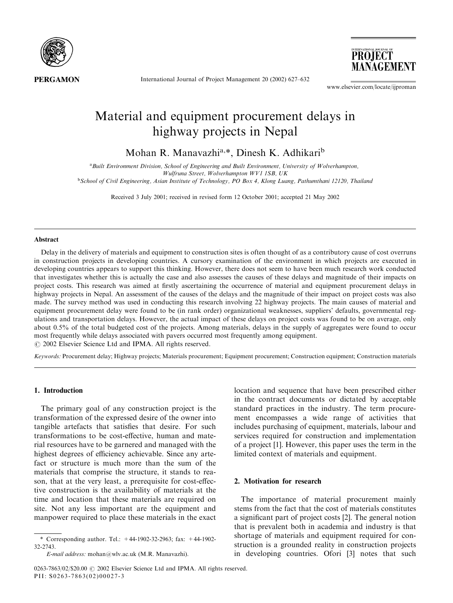

International Journal of Project Management 20 (2002) 627–632

www.elsevier.com/locate/ijproman

MANAGEMENT

**PROJECT** 

## Material and equipment procurement delays in highway projects in Nepal

Mohan R. Manavazhia,\*, Dinesh K. Adhikarib

<sup>a</sup> Built Environment Division, School of Engineering and Built Environment, University of Wolverhampton, Wulfruna Street, Wolverhampton WV1 1SB, UK

<sup>b</sup>School of Civil Engineering, Asian Institute of Technology, PO Box 4, Klong Luang, Pathumthani 12120, Thailand

Received 3 July 2001; received in revised form 12 October 2001; accepted 21 May 2002

#### Abstract

Delay in the delivery of materials and equipment to construction sites is often thought of as a contributory cause of cost overruns in construction projects in developing countries. A cursory examination of the environment in which projects are executed in developing countries appears to support this thinking. However, there does not seem to have been much research work conducted that investigates whether this is actually the case and also assesses the causes of these delays and magnitude of their impacts on project costs. This research was aimed at firstly ascertaining the occurrence of material and equipment procurement delays in highway projects in Nepal. An assessment of the causes of the delays and the magnitude of their impact on project costs was also made. The survey method was used in conducting this research involving 22 highway projects. The main causes of material and equipment procurement delay were found to be (in rank order) organizational weaknesses, suppliers' defaults, governmental regulations and transportation delays. However, the actual impact of these delays on project costs was found to be on average, only about 0.5% of the total budgeted cost of the projects. Among materials, delays in the supply of aggregates were found to occur most frequently while delays associated with pavers occurred most frequently among equipment.  $\circ$  2002 Elsevier Science Ltd and IPMA. All rights reserved.

Keywords: Procurement delay; Highway projects; Materials procurement; Equipment procurement; Construction equipment; Construction materials

### 1. Introduction

The primary goal of any construction project is the transformation of the expressed desire of the owner into tangible artefacts that satisfies that desire. For such transformations to be cost-effective, human and material resources have to be garnered and managed with the highest degrees of efficiency achievable. Since any artefact or structure is much more than the sum of the materials that comprise the structure, it stands to reason, that at the very least, a prerequisite for cost-effective construction is the availability of materials at the time and location that these materials are required on site. Not any less important are the equipment and manpower required to place these materials in the exact location and sequence that have been prescribed either in the contract documents or dictated by acceptable standard practices in the industry. The term procurement encompasses a wide range of activities that includes purchasing of equipment, materials, labour and services required for construction and implementation of a project [1]. However, this paper uses the term in the limited context of materials and equipment.

#### 2. Motivation for research

The importance of material procurement mainly stems from the fact that the cost of materials constitutes a significant part of project costs [2]. The general notion that is prevalent both in academia and industry is that shortage of materials and equipment required for construction is a grounded reality in construction projects in developing countries. Ofori [3] notes that such

<sup>\*</sup> Corresponding author. Tel.:  $+44-1902-32-2963$ : fax:  $+44-1902-$ 32-2743.

E-mail address: mohan@wlv.ac.uk(M.R. Manavazhi).

<sup>0263-7863/02/\$20.00</sup>  $\odot$  2002 Elsevier Science Ltd and IPMA. All rights reserved. PII: S0263-7863(02)00027-3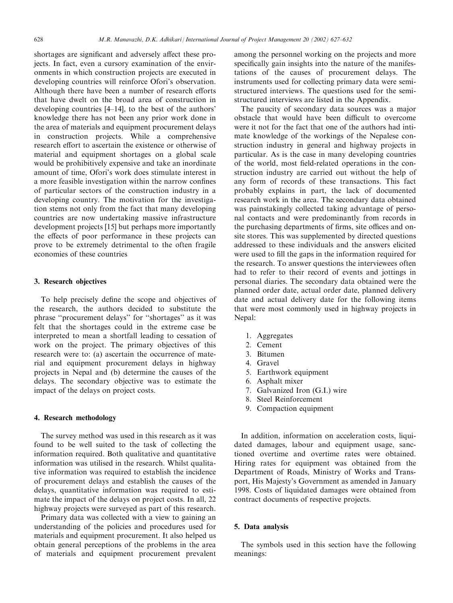shortages are significant and adversely affect these projects. In fact, even a cursory examination of the environments in which construction projects are executed in developing countries will reinforce Ofori's observation. Although there have been a number of research efforts that have dwelt on the broad area of construction in developing countries [4–14], to the best of the authors' knowledge there has not been any prior work done in the area of materials and equipment procurement delays in construction projects. While a comprehensive research effort to ascertain the existence or otherwise of material and equipment shortages on a global scale would be prohibitively expensive and take an inordinate amount of time, Ofori's work does stimulate interest in a more feasible investigation within the narrow confines of particular sectors of the construction industry in a developing country. The motivation for the investigation stems not only from the fact that many developing countries are now undertaking massive infrastructure development projects [15] but perhaps more importantly the effects of poor performance in these projects can prove to be extremely detrimental to the often fragile economies of these countries

#### 3. Research objectives

To help precisely define the scope and objectives of the research, the authors decided to substitute the phrase ''procurement delays'' for ''shortages'' as it was felt that the shortages could in the extreme case be interpreted to mean a shortfall leading to cessation of work on the project. The primary objectives of this research were to: (a) ascertain the occurrence of material and equipment procurement delays in highway projects in Nepal and (b) determine the causes of the delays. The secondary objective was to estimate the impact of the delays on project costs.

#### 4. Research methodology

The survey method was used in this research as it was found to be well suited to the task of collecting the information required. Both qualitative and quantitative information was utilised in the research. Whilst qualitative information was required to establish the incidence of procurement delays and establish the causes of the delays, quantitative information was required to estimate the impact of the delays on project costs. In all, 22 highway projects were surveyed as part of this research.

Primary data was collected with a view to gaining an understanding of the policies and procedures used for materials and equipment procurement. It also helped us obtain general perceptions of the problems in the area of materials and equipment procurement prevalent among the personnel working on the projects and more specifically gain insights into the nature of the manifestations of the causes of procurement delays. The instruments used for collecting primary data were semistructured interviews. The questions used for the semistructured interviews are listed in the Appendix.

The paucity of secondary data sources was a major obstacle that would have been difficult to overcome were it not for the fact that one of the authors had intimate knowledge of the workings of the Nepalese construction industry in general and highway projects in particular. As is the case in many developing countries of the world, most field-related operations in the construction industry are carried out without the help of any form of records of these transactions. This fact probably explains in part, the lack of documented research work in the area. The secondary data obtained was painstakingly collected taking advantage of personal contacts and were predominantly from records in the purchasing departments of firms, site offices and onsite stores. This was supplemented by directed questions addressed to these individuals and the answers elicited were used to fill the gaps in the information required for the research. To answer questions the interviewees often had to refer to their record of events and jottings in personal diaries. The secondary data obtained were the planned order date, actual order date, planned delivery date and actual delivery date for the following items that were most commonly used in highway projects in Nepal:

- 1. Aggregates
- 2. Cement
- 3. Bitumen
- 4. Gravel
- 5. Earthwork equipment
- 6. Asphalt mixer
- 7. Galvanized Iron (G.I.) wire
- 8. Steel Reinforcement
- 9. Compaction equipment

In addition, information on acceleration costs, liquidated damages, labour and equipment usage, sanctioned overtime and overtime rates were obtained. Hiring rates for equipment was obtained from the Department of Roads, Ministry of Works and Transport, His Majesty's Government as amended in January 1998. Costs of liquidated damages were obtained from contract documents of respective projects.

#### 5. Data analysis

The symbols used in this section have the following meanings: